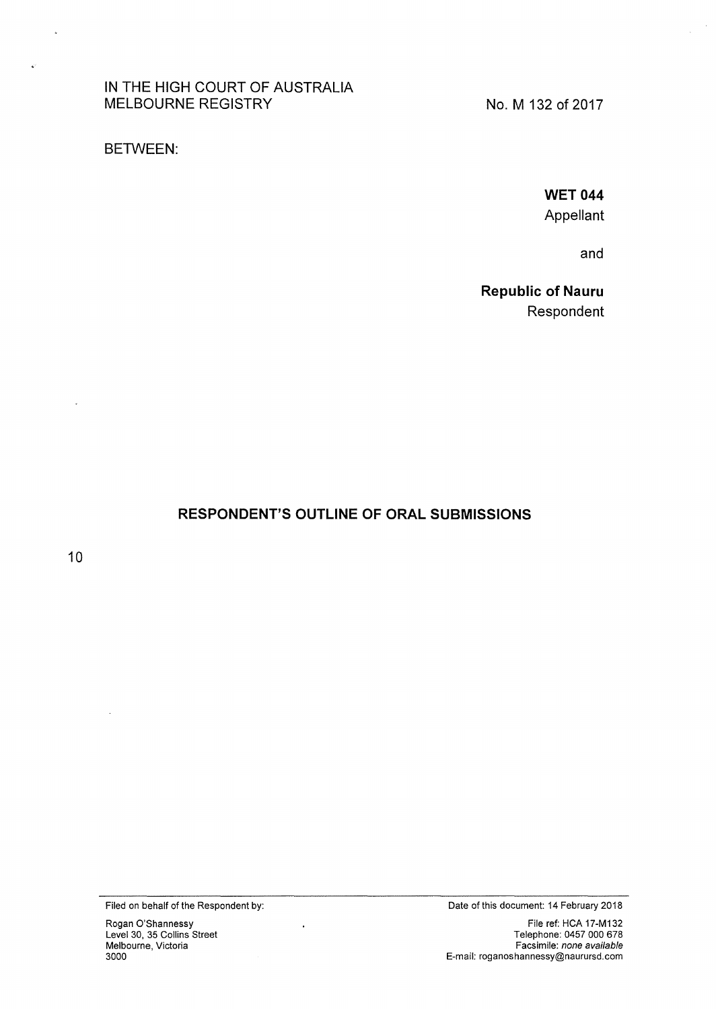IN THE HIGH COURT OF AUSTRALIA MELBOURNE REGISTRY

No. M 132 of 2017

BETWEEN:

**WET 044** Appellant

and

Republic of Nauru Respondent

# RESPONDENT'S OUTLINE OF ORAL SUBMISSIONS

10

l,

 $\ddot{\phantom{a}}$ 

Filed on behalf of the Respondent by: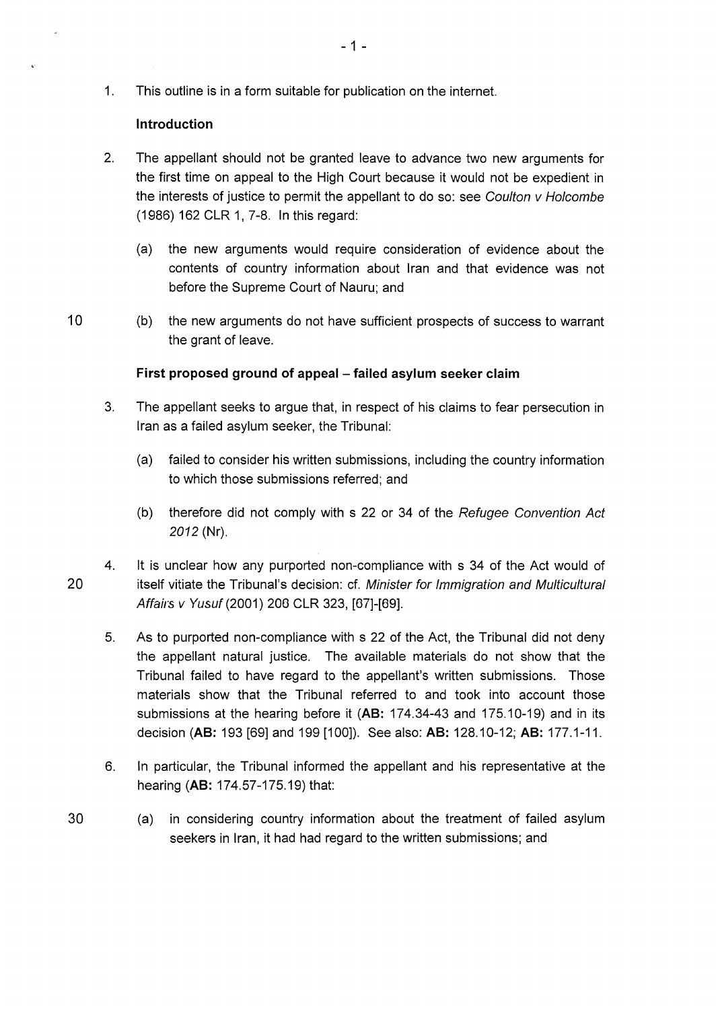1. This outline is in a form suitable for publication on the internet.

### **Introduction**

- 2. The appellant should not be granted leave to advance two new arguments for the first time on appeal to the High Court because it would not be expedient in the interests of justice to permit the appellant to do so: see Coulton v Ho/combe (1986) 162 CLR 1, 7-8. In this regard:
	- (a) the new arguments would require consideration of evidence about the contents of country information about Iran and that evidence was not before the Supreme Court of Nauru; and
- 10 (b) the new arguments do not have sufficient prospects of success to warrant the grant of leave.

## First proposed ground of appeal – failed asylum seeker claim

- 3. The appellant seeks to argue that, in respect of his claims to fear persecution in Iran as a failed asylum seeker, the Tribunal:
	- (a) failed to consider his written submissions, including the country information to which those submissions referred; and
	- (b) therefore did not comply with s 22 or 34 of the Refugee Convention Act 2012 (Nr).
- 4. lt is unclear how any purported non-compliance with s 34 of the Act would of 20 itself vitiate the Tribunal's decision: cf. Minister for Immigration and Multicultural Affairs v Yusuf (2001) 206 CLR 323, [67]-[69].
	- 5. As to purported non-compliance with s 22 of the Act, the Tribunal did not deny the appellant natural justice. The available materials do not show that the Tribunal failed to have regard to the appellant's written submissions. Those materials show that the Tribunal referred to and took into account those submissions at the hearing before it **(AB:** 174.34-43 and 175.10-19) and in its decision **(AB:** 193 [69] and 199 [1 00]). See also: **AB:** 128.1 0-12; **AB:** 177.1-11.
	- 6. In particular, the Tribunal informed the appellant and his representative at the hearing **(AB:** 174.57-175.19) that:
- 30 (a) in considering country information about the treatment of failed asylum seekers in Iran, it had had regard to the written submissions; and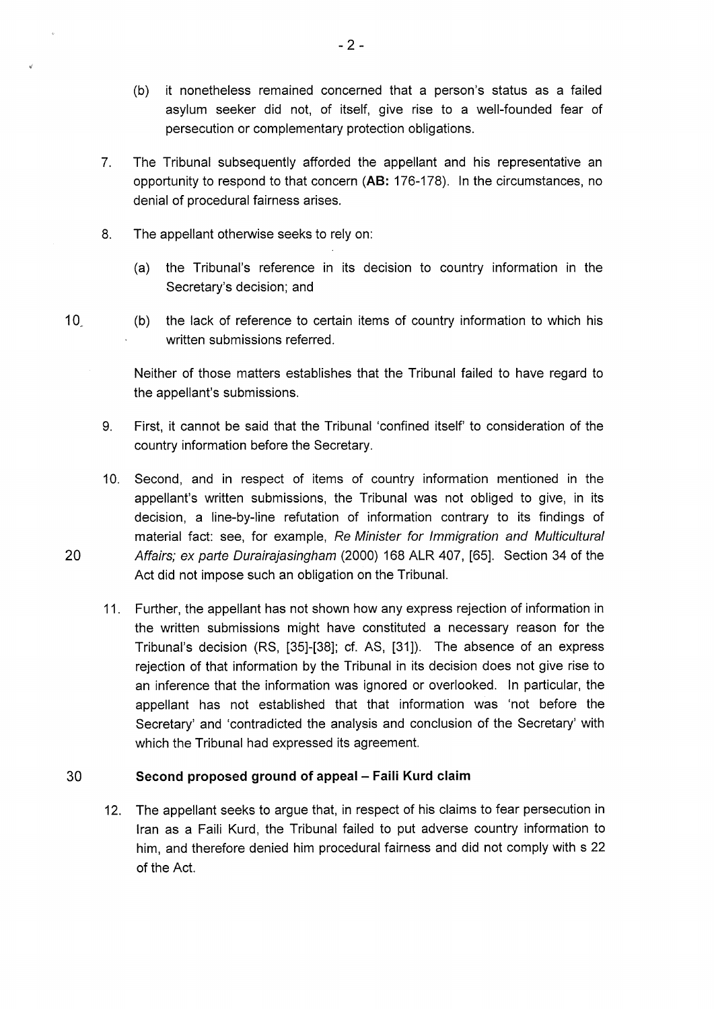- (b) it nonetheless remained concerned that a person's status as a failed asylum seeker did not, of itself, give rise to a well-founded fear of persecution or complementary protection obligations.
- 7. The Tribunal subsequently afforded the appellant and his representative an opportunity to respond to that concern **(AB:** 176-178). In the circumstances, no denial of procedural fairness arises.
- 8. The appellant otherwise seeks to rely on:
	- (a) the Tribunal's reference in its decision to country information in the Secretary's decision; and
- 10<sub>.</sub> (b) the lack of reference to certain items of country information to which his written submissions referred.

Neither of those matters establishes that the Tribunal failed to have regard to the appellant's submissions.

- 9. First, it cannot be said that the Tribunal 'confined itself' to consideration of the country information before the Secretary.
- 10. Second, and in respect of items of country information mentioned in the appellant's written submissions, the Tribunal was not obliged to give, in its decision, a line-by-line refutation of information contrary to its findings of material fact: see, for example, Re Minister for Immigration and Multicultural 20 Affairs; ex parte Durairajasingham (2000) 168 ALR 407, [65]. Section 34 of the Act did not impose such an obligation on the Tribunal.
	- 11. Further, the appellant has not shown how any express rejection of information in the written submissions might have constituted a necessary reason for the Tribunal's decision (RS, [35]-[38]; cf. AS, [31]). The absence of an express rejection of that information by the Tribunal in its decision does not give rise to an inference that the information was ignored or overlooked. In particular, the appellant has not established that that information was 'not before the Secretary' and 'contradicted the analysis and conclusion of the Secretary' with which the Tribunal had expressed its agreement.

#### 30 **Second proposed ground of appeal- Faili Kurd claim**

12. The appellant seeks to argue that, in respect of his claims to fear persecution in Iran as a Faili Kurd, the Tribunal failed to put adverse country information to him, and therefore denied him procedural fairness and did not comply with s 22 of the Act.